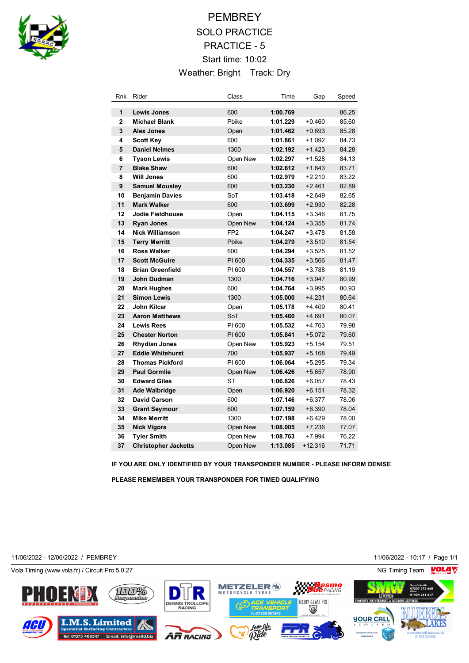

# **PEMBREY** SOLO PRACTICE PRACTICE - 5 Start time: 10:02 Weather: Bright Track: Dry

| Rnk            | Rider                       | Class           | Time     | Gap       | Speed |
|----------------|-----------------------------|-----------------|----------|-----------|-------|
| 1              | <b>Lewis Jones</b>          | 600             | 1:00.769 |           | 86.25 |
| $\overline{2}$ | <b>Michael Blank</b>        | Pbike           | 1:01.229 | $+0.460$  | 85.60 |
| 3              | <b>Alex Jones</b>           | Open            | 1:01.462 | $+0.693$  | 85.28 |
| 4              | <b>Scott Key</b>            | 600             | 1:01.861 | $+1.092$  | 84.73 |
| 5              | <b>Daniel Nelmes</b>        | 1300            | 1:02.192 | $+1.423$  | 84.28 |
| 6              | <b>Tyson Lewis</b>          | Open New        | 1:02.297 | $+1.528$  | 84.13 |
| $\overline{7}$ | <b>Blake Shaw</b>           | 600             | 1:02.612 | $+1.843$  | 83.71 |
| 8              | <b>Will Jones</b>           | 600             | 1:02.979 | $+2.210$  | 83.22 |
| 9              | <b>Samuel Mousley</b>       | 600             | 1:03.230 | $+2.461$  | 82.89 |
| 10             | <b>Benjamin Davies</b>      | SoT             | 1:03.418 | $+2.649$  | 82.65 |
| 11             | <b>Mark Walker</b>          | 600             | 1:03.699 | $+2.930$  | 82.28 |
| 12             | <b>Jodie Fieldhouse</b>     | Open            | 1:04.115 | $+3.346$  | 81.75 |
| 13             | <b>Ryan Jones</b>           | Open New        | 1:04.124 | $+3.355$  | 81.74 |
| 14             | <b>Nick Williamson</b>      | FP <sub>2</sub> | 1:04.247 | $+3.478$  | 81.58 |
| 15             | <b>Terry Merritt</b>        | Pbike           | 1:04.279 | $+3.510$  | 81.54 |
| 16             | <b>Ross Walker</b>          | 600             | 1:04.294 | $+3.525$  | 81.52 |
| 17             | <b>Scott McGuire</b>        | PI 600          | 1:04.335 | $+3.566$  | 81.47 |
| 18             | <b>Brian Greenfield</b>     | PI 600          | 1:04.557 | $+3.788$  | 81.19 |
| 19             | <b>John Dudman</b>          | 1300            | 1:04.716 | $+3.947$  | 80.99 |
| 20             | <b>Mark Hughes</b>          | 600             | 1:04.764 | $+3.995$  | 80.93 |
| 21             | <b>Simon Lewis</b>          | 1300            | 1:05.000 | $+4.231$  | 80.64 |
| 22             | John Kilcar                 | Open            | 1:05.178 | $+4.409$  | 80.41 |
| 23             | <b>Aaron Matthews</b>       | SoT             | 1:05.460 | $+4.691$  | 80.07 |
| 24             | <b>Lewis Rees</b>           | PI 600          | 1:05.532 | $+4.763$  | 79.98 |
| 25             | <b>Chester Norton</b>       | PI 600          | 1:05.841 | $+5.072$  | 79.60 |
| 26             | <b>Rhydian Jones</b>        | Open New        | 1:05.923 | $+5.154$  | 79.51 |
| 27             | <b>Eddie Whitehurst</b>     | 700             | 1:05.937 | $+5.168$  | 79.49 |
| 28             | <b>Thomas Pickford</b>      | PI 600          | 1:06.064 | $+5.295$  | 79.34 |
| 29             | <b>Paul Gormlie</b>         | Open New        | 1:06.426 | $+5.657$  | 78.90 |
| 30             | <b>Edward Giles</b>         | <b>ST</b>       | 1:06.826 | $+6.057$  | 78.43 |
| 31             | <b>Ade Walbridge</b>        | Open            | 1:06.920 | $+6.151$  | 78.32 |
| 32             | <b>David Carson</b>         | 600             | 1:07.146 | $+6.377$  | 78.06 |
| 33             | <b>Grant Seymour</b>        | 600             | 1:07.159 | $+6.390$  | 78.04 |
| 34             | <b>Mike Merritt</b>         | 1300            | 1:07.198 | $+6.429$  | 78.00 |
| 35             | <b>Nick Vigors</b>          | Open New        | 1:08.005 | $+7.236$  | 77.07 |
| 36             | <b>Tyler Smith</b>          | Open New        | 1:08.763 | $+7.994$  | 76.22 |
| 37             | <b>Christopher Jacketts</b> | Open New        | 1:13.085 | $+12.316$ | 71.71 |

**IF YOU ARE ONLY IDENTIFIED BY YOUR TRANSPONDER NUMBER - PLEASE INFORM DENISE**

**PLEASE REMEMBER YOUR TRANSPONDER FOR TIMED QUALIFYING**

11/06/2022 - 12/06/2022 / PEMBREY 11/06/2022 - 10:17 / Page 1/1

Vola Timing (www.vola.fr) / Circuit Pro 5.0.27 NG Timing Team NG Timing Team NG Timing Team NG Timing Team NG

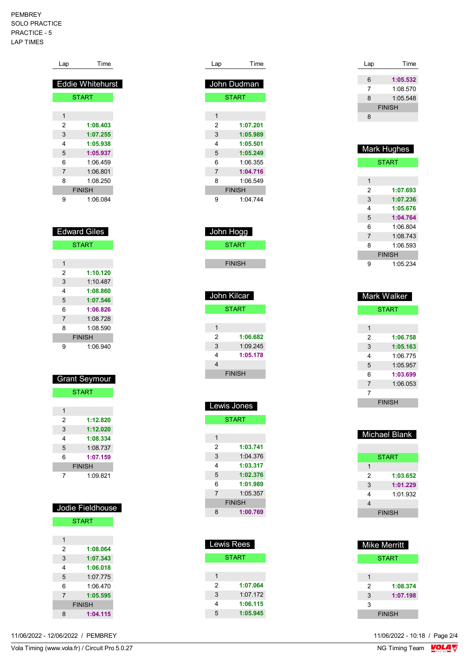PEMBREY SOLO PRACTICE PRACTICE - 5 LAP TIMES

| Lap            | Time                    |
|----------------|-------------------------|
|                |                         |
|                | <b>Eddie Whitehurst</b> |
|                | <b>START</b>            |
| 1              |                         |
| 2              | 1:08.403                |
| 3              | 1:07.255                |
| 4              | 1:05.938                |
| 5              | 1:05.937                |
| 6              | 1:06.459                |
| $\overline{7}$ | 1:06.801                |
| 8              | 1:08.250                |
|                | <b>FINISH</b>           |
| 9              | 1:06.084                |
|                |                         |
|                |                         |
|                | Edward Giles            |
|                | <b>START</b>            |
|                |                         |
| 1              |                         |
| 2              | 1:10.120                |
| C              | 1.10A97                 |

| 3 | 1:10.487      |
|---|---------------|
| 4 | 1:08.860      |
| 5 | 1:07.546      |
| 6 | 1:06.826      |
| 7 | 1:08.728      |
| 8 | 1:08.590      |
|   | <b>FINISH</b> |
| Q | 1:06.940      |
|   |               |

| <b>Grant Seymour</b> |               |  |  |
|----------------------|---------------|--|--|
|                      | <b>START</b>  |  |  |
|                      |               |  |  |
| 1                    |               |  |  |
| 2                    | 1:12,820      |  |  |
| 3                    | 1:12.020      |  |  |
| 4                    | 1:08.334      |  |  |
| 5                    | 1.08737       |  |  |
| 6                    | 1:07.159      |  |  |
|                      | <b>FINISH</b> |  |  |
|                      | 1:09.821      |  |  |

| Jodie Fieldhouse |               |  |  |
|------------------|---------------|--|--|
|                  | <b>START</b>  |  |  |
|                  |               |  |  |
| 1                |               |  |  |
| 2                | 1:08.064      |  |  |
| 3                | 1:07.343      |  |  |
| 4                | 1:06.018      |  |  |
| 5                | 1:07.775      |  |  |
| 6                | 1:06 470      |  |  |
| $\overline{7}$   | 1:05.595      |  |  |
|                  | <b>FINISH</b> |  |  |
| 8                | 1:04.115      |  |  |

11/06/2022 - 12/06/2022 / PEMBREY

| Lap            | Time          |
|----------------|---------------|
|                |               |
|                | John Dudman   |
|                | <b>START</b>  |
|                |               |
| 1              |               |
| 2              | 1:07.201      |
| 3              | 1:05.989      |
| 4              | 1:05.501      |
| 5              | 1:05.249      |
| 6              | 1:06.355      |
| $\overline{7}$ | 1:04.716      |
| 8              | 1:06.549      |
|                | <b>FINISH</b> |
| 9              | 1:04.744      |

| John Hogg     |
|---------------|
| <b>START</b>  |
|               |
| <b>FINISH</b> |
|               |

| John Kilcar   |          |  |
|---------------|----------|--|
| <b>START</b>  |          |  |
|               |          |  |
| 1             |          |  |
| 2             | 1:06.682 |  |
| 3             | 1:09.245 |  |
| 4             | 1:05.178 |  |
| 4             |          |  |
| <b>FINISH</b> |          |  |

| Lewis Jones    |               |  |  |
|----------------|---------------|--|--|
|                | <b>START</b>  |  |  |
|                |               |  |  |
| 1              |               |  |  |
| 2              | 1:03.741      |  |  |
| 3              | 1:04.376      |  |  |
| 4              | 1:03.317      |  |  |
| 5              | 1:02.376      |  |  |
| 6              | 1:01.989      |  |  |
| $\overline{7}$ | 1:05.357      |  |  |
|                | <b>FINISH</b> |  |  |
| 8              | 1:00.769      |  |  |
|                |               |  |  |

| <b>Lewis Rees</b> |          |  |
|-------------------|----------|--|
| <b>START</b>      |          |  |
|                   |          |  |
| 1                 |          |  |
| 2                 | 1:07.064 |  |
| 3                 | 1:07.172 |  |
| 4                 | 1:06.115 |  |
| 5                 | 1:05.945 |  |

| Lap | Time          |
|-----|---------------|
|     |               |
| 6   | 1:05.532      |
| 7   | 1:08.570      |
| 8   | 1:05.548      |
|     | <b>FINISH</b> |
| 8   |               |
|     |               |

| <b>Mark Hughes</b> |               |  |
|--------------------|---------------|--|
| <b>START</b>       |               |  |
|                    |               |  |
| 1                  |               |  |
| 2                  | 1:07.693      |  |
| 3                  | 1:07.236      |  |
| 4                  | 1:05.676      |  |
| 5                  | 1:04.764      |  |
| 6                  | 1:06 804      |  |
| $\overline{7}$     | 1:08.743      |  |
| 8                  | 1:06.593      |  |
|                    | <b>FINISH</b> |  |
| 9                  | 1:05.234      |  |

| <b>Mark Walker</b> |               |  |
|--------------------|---------------|--|
|                    | <b>START</b>  |  |
|                    |               |  |
| 1                  |               |  |
| 2                  | 1:06.758      |  |
| 3                  | 1:05.163      |  |
| 4                  | 1.06775       |  |
| 5                  | 1:05.957      |  |
| 6                  | 1:03.699      |  |
| 7                  | 1:06.053      |  |
| 7                  |               |  |
|                    | <b>FINISH</b> |  |

| <b>Michael Blank</b> |               |  |
|----------------------|---------------|--|
|                      | <b>START</b>  |  |
| 1                    |               |  |
| 2                    | 1:03.652      |  |
| 3                    | 1:01.229      |  |
| 4                    | 1:01.932      |  |
| 4                    |               |  |
|                      | <b>FINISH</b> |  |

| <b>Mike Merritt</b> |          |  |
|---------------------|----------|--|
| START               |          |  |
|                     |          |  |
|                     |          |  |
| 2                   | 1:08.374 |  |
| 3                   | 1:07.198 |  |
| 3                   |          |  |
| <b>FINISH</b>       |          |  |

11/06/2022 - 10:18 / Page 2/4<br>NG Timing Team  $\frac{\text{VOLA}}{\text{Nc}}$ 

Vola Timing (www.vola.fr) / Circuit Pro 5.0.27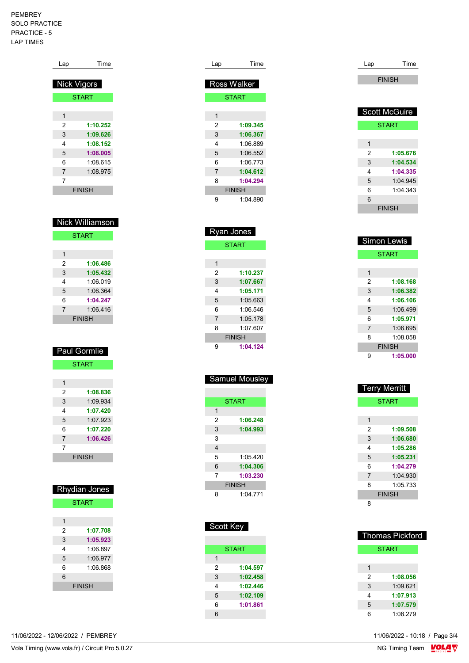#### PEMBREY SOLO PRACTICE PRACTICE - 5 LAP TIMES

| Lap         | Time          |
|-------------|---------------|
| Nick Vigors |               |
|             | <b>START</b>  |
| 1           |               |
| 2           | 1:10.252      |
| 3           | 1:09.626      |
| 4           | 1:08.152      |
| 5           | 1:08.005      |
| 6           | 1:08.615      |
| 7           | 1:08.975      |
| 7           |               |
|             | <b>FINISH</b> |

| <b>Nick Williamson</b> |               |  |
|------------------------|---------------|--|
|                        | <b>START</b>  |  |
|                        |               |  |
| 1                      |               |  |
| 2                      | 1:06.486      |  |
| 3                      | 1:05.432      |  |
| 4                      | 1.06019       |  |
| 5                      | 1.06.364      |  |
| 6                      | 1:04.247      |  |
| 7                      | 1.06416       |  |
|                        | <b>FINISH</b> |  |

|   | <b>Paul Gormlie</b> |
|---|---------------------|
|   | <b>START</b>        |
|   |                     |
| 1 |                     |
| 2 | 1:08.836            |
| 3 | 1.09.934            |
| 4 | 1:07.420            |
| 5 | 1:07.923            |
| 6 | 1:07.220            |
| 7 | 1:06.426            |

|  | <b>FINISH</b> |  |
|--|---------------|--|
|  |               |  |

| <b>Rhydian Jones</b> |               |  |
|----------------------|---------------|--|
| <b>START</b>         |               |  |
|                      |               |  |
| 1                    |               |  |
| 2                    | 1:07.708      |  |
| 3                    | 1:05.923      |  |
| 4                    | 1:06 897      |  |
| 5                    | 1:06.977      |  |
| 6                    | 1.06.868      |  |
| 6                    |               |  |
|                      | <b>FINISH</b> |  |

| Time               |
|--------------------|
|                    |
| <b>Ross Walker</b> |
| <b>START</b>       |
|                    |
|                    |
| 1:09.345           |
| 1:06.367           |
| 1:06.889           |
| 1:06.552           |
| 1:06.773           |
| 1:04.612           |
| 1:04.294           |
| <b>FINISH</b>      |
| 1:04.890           |
|                    |
|                    |
|                    |

| <b>Ryan Jones</b> |               |  |
|-------------------|---------------|--|
|                   | <b>START</b>  |  |
|                   |               |  |
| 1                 |               |  |
| 2                 | 1:10.237      |  |
| 3                 | 1:07.667      |  |
| 4                 | 1:05.171      |  |
| 5                 | 1:05.663      |  |
| 6                 | 1:06.546      |  |
| 7                 | 1:05.178      |  |
| 8                 | 1.07607       |  |
|                   | <b>FINISH</b> |  |
| 9                 | 1:04.124      |  |

|   | <b>START</b>  |
|---|---------------|
| 1 |               |
| 2 | 1:06.248      |
| 3 | 1:04.993      |
| 3 |               |
| 4 |               |
| 5 | 1.05420       |
| 6 | 1:04.306      |
| 7 | 1:03.230      |
|   | <b>FINISH</b> |
| 8 | 1:04.771      |

Samuel Mousley

| Scott Key |              |  |
|-----------|--------------|--|
|           |              |  |
|           | <b>START</b> |  |
| 1         |              |  |
| 2         | 1:04.597     |  |
| 3         | 1:02.458     |  |
| 4         | 1:02.446     |  |
| 5         | 1:02.109     |  |
| 6         | 1:01.861     |  |
| 6         |              |  |
|           |              |  |

| Lap | Time                 |
|-----|----------------------|
|     | <b>FINISH</b>        |
|     |                      |
|     |                      |
|     | <b>Scott McGuire</b> |
|     | <b>START</b>         |
|     |                      |
| 1   |                      |
| 2   | 1:05.676             |
| 3   | 1:04.534             |
| 4   | 1:04.335             |
| 5   | 1:04.945             |
| 6   | 1:04.343             |
| 6   |                      |
|     | <b>FINISH</b>        |

|   | <b>Simon Lewis</b> |
|---|--------------------|
|   | <b>START</b>       |
|   |                    |
| 1 |                    |
| 2 | 1:08.168           |
| 3 | 1:06.382           |
| 4 | 1:06.106           |
| 5 | 1:06.499           |
| 6 | 1:05.971           |
| 7 | 1:06.695           |
| 8 | 1:08.058           |
|   | <b>FINISH</b>      |
|   | 1:05.000           |

|                | <b>Terry Merritt</b> |
|----------------|----------------------|
|                | <b>START</b>         |
|                |                      |
| 1              |                      |
| 2              | 1:09.508             |
| 3              | 1:06.680             |
| 4              | 1:05.286             |
| 5              | 1:05.231             |
| 6              | 1:04.279             |
| $\overline{7}$ | 1:04.930             |
| 8              | 1:05.733             |
|                | <b>FINISH</b>        |
| 8              |                      |

|   | Thomas Pickford |
|---|-----------------|
|   | <b>START</b>    |
|   |                 |
| 1 |                 |
| 2 | 1:08.056        |
| 3 | 1:09.621        |
| 4 | 1:07.913        |
| 5 | 1:07.579        |
| հ | 1:08.279        |

11/06/2022 - 12/06/2022 / PEMBREY